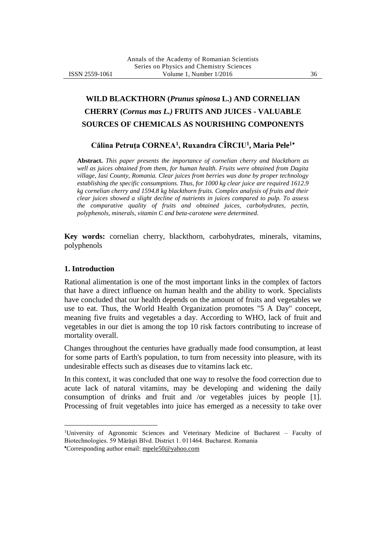# **WILD BLACKTHORN (***Prunus spinosa* **L.) AND CORNELIAN CHERRY (***Cornus mas L.)* **FRUITS AND JUICES - VALUABLE SOURCES OF CHEMICALS AS NOURISHING COMPONENTS**

## **Călina Petruţa CORNEA<sup>1</sup> , Ruxandra CÎRCIU<sup>1</sup> , Maria Pele**

**Abstract.** *This paper presents the importance of cornelian cherry and blackthorn as well as juices obtained from them, for human health. Fruits were obtained from Dagita village, Iasi County, Romania. Clear juices from berries was done by proper technology establishing the specific consumptions. Thus, for 1000 kg clear juice are required 1612.9 kg cornelian cherry and 1594.8 kg blackthorn fruits. Complex analysis of fruits and their clear juices showed a slight decline of nutrients in juices compared to pulp. To assess the comparative quality of fruits and obtained juices, carbohydrates, pectin, polyphenols, minerals, vitamin C and beta-carotene were determined.*

**Key words:** cornelian cherry, blackthorn, carbohydrates, minerals, vitamins, polyphenols

#### **1. Introduction**

 $\overline{a}$ 

Rational alimentation is one of the most important links in the complex of factors that have a direct influence on human health and the ability to work. Specialists have concluded that our health depends on the amount of fruits and vegetables we use to eat. Thus, the World Health Organization promotes "5 A Day" concept, meaning five fruits and vegetables a day. According to WHO, lack of fruit and vegetables in our diet is among the top 10 risk factors contributing to increase of mortality overall.

Changes throughout the centuries have gradually made food consumption, at least for some parts of Earth's population, to turn from necessity into pleasure, with its undesirable effects such as diseases due to vitamins lack etc.

In this context, it was concluded that one way to resolve the food correction due to acute lack of natural vitamins, may be developing and widening the daily consumption of drinks and fruit and /or vegetables juices by people [1]. Processing of fruit vegetables into juice has emerged as a necessity to take over

University of Agronomic Sciences and Veterinary Medicine of Bucharest – Faculty of Biotechnologies. 59 Mărăşti Blvd. District 1. 011464. Bucharest. Romania Corresponding author email: mpele50@yahoo.com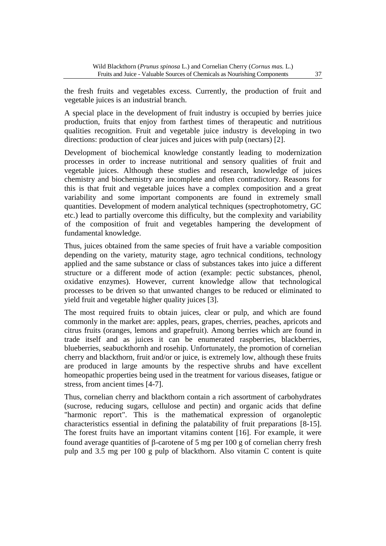the fresh fruits and vegetables excess. Currently, the production of fruit and vegetable juices is an industrial branch.

A special place in the development of fruit industry is occupied by berries juice production, fruits that enjoy from farthest times of therapeutic and nutritious qualities recognition. Fruit and vegetable juice industry is developing in two directions: production of clear juices and juices with pulp (nectars) [2].

Development of biochemical knowledge constantly leading to modernization processes in order to increase nutritional and sensory qualities of fruit and vegetable juices. Although these studies and research, knowledge of juices chemistry and biochemistry are incomplete and often contradictory. Reasons for this is that fruit and vegetable juices have a complex composition and a great variability and some important components are found in extremely small quantities. Development of modern analytical techniques (spectrophotometry, GC etc.) lead to partially overcome this difficulty, but the complexity and variability of the composition of fruit and vegetables hampering the development of fundamental knowledge.

Thus, juices obtained from the same species of fruit have a variable composition depending on the variety, maturity stage, agro technical conditions, technology applied and the same substance or class of substances takes into juice a different structure or a different mode of action (example: pectic substances, phenol, oxidative enzymes). However, current knowledge allow that technological processes to be driven so that unwanted changes to be reduced or eliminated to yield fruit and vegetable higher quality juices [3].

The most required fruits to obtain juices, clear or pulp, and which are found commonly in the market are: apples, pears, grapes, cherries, peaches, apricots and citrus fruits (oranges, lemons and grapefruit). Among berries which are found in trade itself and as juices it can be enumerated raspberries, blackberries, blueberries, seabuckthornh and rosehip. Unfortunately, the promotion of cornelian cherry and blackthorn, fruit and/or or juice, is extremely low, although these fruits are produced in large amounts by the respective shrubs and have excellent homeopathic properties being used in the treatment for various diseases, fatigue or stress, from ancient times [4-7].

Thus, cornelian cherry and blackthorn contain a rich assortment of carbohydrates (sucrose, reducing sugars, cellulose and pectin) and organic acids that define "harmonic report". This is the mathematical expression of organoleptic characteristics essential in defining the palatability of fruit preparations [8-15]. The forest fruits have an important vitamins content [16]. For example, it were found average quantities of  $\beta$ -carotene of 5 mg per 100 g of cornelian cherry fresh pulp and 3.5 mg per 100 g pulp of blackthorn. Also vitamin C content is quite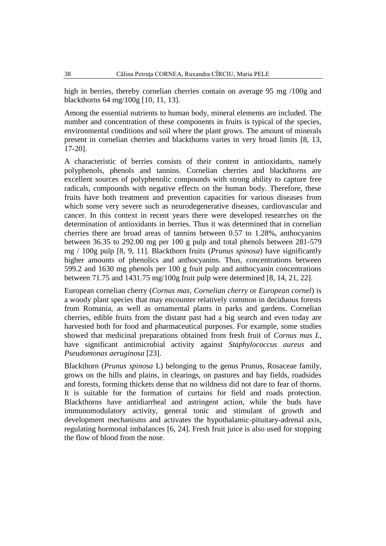high in berries, thereby cornelian cherries contain on average 95 mg /100g and blackthorns 64 mg/100g [10, 11, 13].

Among the essential nutrients to human body, mineral elements are included. The number and concentration of these components in fruits is typical of the species, environmental conditions and soil where the plant grows. The amount of minerals present in cornelian cherries and blackthorns varies in very broad limits [8, 13, 17-20].

A characteristic of berries consists of their content in antioxidants, namely polyphenols, phenols and tannins. Cornelian cherries and blackthorns are excellent sources of polyphenolic compounds with strong ability to capture free radicals, compounds with negative effects on the human body. Therefore, these fruits have both treatment and prevention capacities for various diseases from which some very severe such as neurodegenerative diseases, cardiovascular and cancer. In this context in recent years there were developed researches on the determination of antioxidants in berries. Thus it was determined that in cornelian cherries there are broad areas of tannins between 0.57 to 1.28%, anthocyanins between 36.35 to 292.00 mg per 100 g pulp and total phenols between 281-579 mg / 100g pulp [8, 9, 11]. Blackthorn fruits (*Prunus spinosa*) have significantly higher amounts of phenolics and anthocyanins. Thus, concentrations between 599.2 and 1630 mg phenols per 100 g fruit pulp and anthocyanin concentrations between 71.75 and 1431.75 mg/100g fruit pulp were determined [8, 14, 21, 22].

European cornelian cherry (*Cornus mas*, *Cornelian cherry* or *European cornel*) is a woody plant species that may encounter relatively common in deciduous forests from Romania, as well as ornamental plants in parks and gardens. Cornelian cherries, edible fruits from the distant past had a big search and even today are harvested both for food and pharmaceutical purposes. For example, some studies showed that medicinal preparations obtained from fresh fruit of *Cornus mas L*, have significant antimicrobial activity against *Staphylococcus aureus* and *Pseudomonas aeruginosa* [23].

Blackthorn (*Prunus spinosa* L) belonging to the genus Prunus, Rosaceae family, grows on the hills and plains, in clearings, on pastures and hay fields, roadsides and forests, forming thickets dense that no wildness did not dare to fear of thorns. It is suitable for the formation of curtains for field and roads protection. Blackthorns have antidiarrheal and astringent action, while the buds have immunomodulatory activity, general tonic and stimulant of growth and development mechanisms and activates the hypothalamic-pituitary-adrenal axis, regulating hormonal imbalances [6, 24]. Fresh fruit juice is also used for stopping the flow of blood from the nose.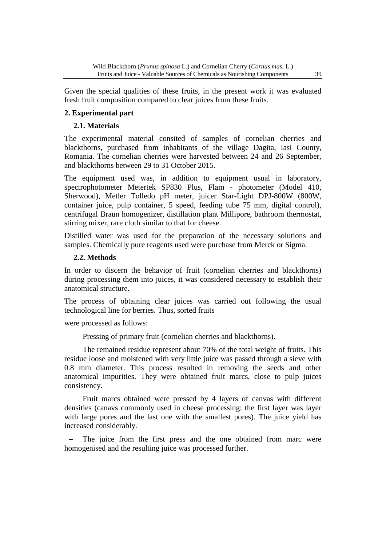Given the special qualities of these fruits, in the present work it was evaluated fresh fruit composition compared to clear juices from these fruits.

## **2. Experimental part**

## **2.1. Materials**

The experimental material consited of samples of cornelian cherries and blackthorns, purchased from inhabitants of the village Dagita, Iasi County, Romania. The cornelian cherries were harvested between 24 and 26 September, and blackthorns between 29 to 31 October 2015.

The equipment used was, in addition to equipment usual in laboratory, spectrophotometer Metertek SP830 Plus, Flam - photometer (Model 410, Sherwood), Metler Tolledo pH meter, juicer Star-Light DPJ-800W (800W, container juice, pulp container, 5 speed, feeding tube 75 mm, digital control), centrifugal Braun homogenizer, distillation plant Millipore, bathroom thermostat, stirring mixer, rare cloth similar to that for cheese.

Distilled water was used for the preparation of the necessary solutions and samples. Chemically pure reagents used were purchase from Merck or Sigma.

### **2.2. Methods**

In order to discern the behavior of fruit (cornelian cherries and blackthorns) during processing them into juices, it was considered necessary to establish their anatomical structure.

The process of obtaining clear juices was carried out following the usual technological line for berries. Thus, sorted fruits

were processed as follows:

Pressing of primary fruit (cornelian cherries and blackthorns).

 The remained residue represent about 70% of the total weight of fruits. This residue loose and moistened with very little juice was passed through a sieve with 0.8 mm diameter. This process resulted in removing the seeds and other anatomical impurities. They were obtained fruit marcs, close to pulp juices consistency.

 Fruit marcs obtained were pressed by 4 layers of canvas with different densities (canavs commonly used in cheese processing: the first layer was layer with large pores and the last one with the smallest pores). The juice yield has increased considerably.

 The juice from the first press and the one obtained from marc were homogenised and the resulting juice was processed further.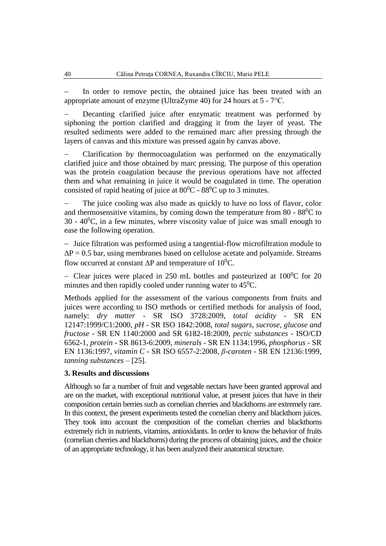In order to remove pectin, the obtained juice has been treated with an appropriate amount of enzyme (UltraZyme 40) for 24 hours at 5 - 7°C.

 Decanting clarified juice after enzymatic treatment was performed by siphoning the portion clarified and dragging it from the layer of yeast. The resulted sediments were added to the remained marc after pressing through the layers of canvas and this mixture was pressed again by canvas above.

 Clarification by thermocoagulation was performed on the enzymatically clarified juice and those obtained by marc pressing. The purpose of this operation was the protein coagulation because the previous operations have not affected them and what remaining in juice it would be coagulated in time. The operation consisted of rapid heating of juice at  $80^0C - 88^0C$  up to 3 minutes.

 The juice cooling was also made as quickly to have no loss of flavor, color and thermosensitive vitamins, by coming down the temperature from  $80 - 88^{\circ}$ C to  $30 - 40^{\circ}$ C, in a few minutes, where viscosity value of juice was small enough to ease the following operation.

 Juice filtration was performed using a tangential-flow microfiltration module to  $\Delta P = 0.5$  bar, using membranes based on cellulose acetate and polyamide. Streams flow occurred at constant  $\Delta P$  and temperature of 10<sup>0</sup>C.

- Clear juices were placed in 250 mL bottles and pasteurized at  $100^{\circ}$ C for 20 minutes and then rapidly cooled under running water to  $45^{\circ}$ C.

Methods applied for the assessment of the various components from fruits and juices were according to ISO methods or certified methods for analysis of food, namely: *dry matter* - SR ISO 3728:2009, *total acidity* - SR EN 12147:1999/C1:2000, *pH -* SR ISO 1842:2008, *total sugars, sucrose, glucose and fructose* - SR EN 1140:2000 and SR 6182-18:2009, *pectic substances* - ISO/CD 6562-1, *protein* - SR 8613-6:2009, *minerals* - [SR EN 1134:1996,](http://magazin.asro.ro/index.php?pag=3&lg=1&cls=3&dom=N&gr=6&sgr=0&id_p=53092914) *phosphorus* - [SR](http://magazin.asro.ro/index.php?pag=3&lg=1&cls=3&dom=N&gr=6&sgr=0&id_p=53103748)  [EN 1136:1997,](http://magazin.asro.ro/index.php?pag=3&lg=1&cls=3&dom=N&gr=6&sgr=0&id_p=53103748) *vitamin C* - SR ISO 6557-2:2008, *β-caroten* - SR EN 12136:1999, *tanning substances* – [25].

#### **3. Results and discussions**

Although so far a number of fruit and vegetable nectars have been granted approval and are on the market, with exceptional nutritional value, at present juices that have in their composition certain berries such as cornelian cherries and blackthorns are extremely rare. In this context, the present experiments tested the cornelian cherry and blackthorn juices. They took into account the composition of the cornelian cherries and blackthorns extremely rich in nutrients, vitamins, antioxidants. In order to know the behavior of fruits (cornelian cherries and blackthorns) during the process of obtaining juices, and the choice of an appropriate technology, it has been analyzed their anatomical structure.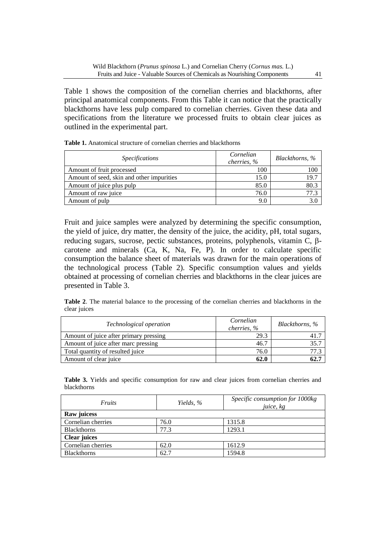Table 1 shows the composition of the cornelian cherries and blackthorns, after principal anatomical components. From this Table it can notice that the practically blackthorns have less pulp compared to cornelian cherries. Given these data and specifications from the literature we processed fruits to obtain clear juices as outlined in the experimental part.

| <i>Specifications</i>                     | Cornelian<br>cherries, % | Blackthorns, % |
|-------------------------------------------|--------------------------|----------------|
| Amount of fruit processed                 | 100                      | 100            |
| Amount of seed, skin and other impurities | 15.0                     | 19.7           |
| Amount of juice plus pulp                 | 85.0                     | 80.3           |
| Amount of raw juice                       | 76.0                     | 77.3           |
| Amount of pulp                            | 9.0                      | 3.0            |

**Table 1.** Anatomical structure of cornelian cherries and blackthorns

Fruit and juice samples were analyzed by determining the specific consumption, the yield of juice, dry matter, the density of the juice, the acidity, pH, total sugars, reducing sugars, sucrose, pectic substances, proteins, polyphenols, vitamin C,  $\beta$ carotene and minerals (Ca, K, Na, Fe, P). In order to calculate specific consumption the balance sheet of materials was drawn for the main operations of the technological process (Table 2). Specific consumption values and yields obtained at processing of cornelian cherries and blackthorns in the clear juices are presented in Table 3.

**Table 2**. The material balance to the processing of the cornelian cherries and blackthorns in the clear juices

| Technological operation                | Cornelian<br>cherries, % | Blackthorns, % |
|----------------------------------------|--------------------------|----------------|
| Amount of juice after primary pressing | 29.3                     |                |
| Amount of juice after marc pressing    | 46.7                     | 35.7           |
| Total quantity of resulted juice       | 76.0                     | 77.3           |
| Amount of clear juice                  | 62.0                     | 62.7           |

**Table 3.** Yields and specific consumption for raw and clear juices from cornelian cherries and blackthorns

| <i>Fruits</i>       | Yields, % | Specific consumption for 1000kg<br>juice, kg |  |
|---------------------|-----------|----------------------------------------------|--|
| Raw juicess         |           |                                              |  |
| Cornelian cherries  | 76.0      | 1315.8                                       |  |
| <b>Blackthorns</b>  | 77.3      | 1293.1                                       |  |
| <b>Clear juices</b> |           |                                              |  |
| Cornelian cherries  | 62.0      | 1612.9                                       |  |
| <b>Blackthorns</b>  | 62.7      | 1594.8                                       |  |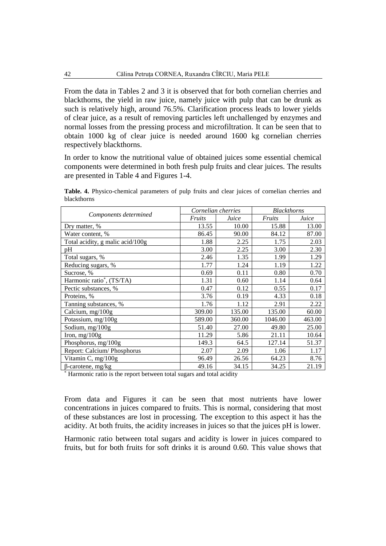From the data in Tables 2 and 3 it is observed that for both cornelian cherries and blackthorns, the yield in raw juice, namely juice with pulp that can be drunk as such is relatively high, around 76.5%. Clarification process leads to lower yields of clear juice, as a result of removing particles left unchallenged by enzymes and normal losses from the pressing process and microfiltration. It can be seen that to obtain 1000 kg of clear juice is needed around 1600 kg cornelian cherries respectively blackthorns.

In order to know the nutritional value of obtained juices some essential chemical components were determined in both fresh pulp fruits and clear juices. The results are presented in Table 4 and Figures 1-4.

**Table. 4.** Physico-chemical parameters of pulp fruits and clear juices of cornelian cherries and blackthorns

| Components determined            | Cornelian cherries |        | <b>Blackthorns</b> |        |
|----------------------------------|--------------------|--------|--------------------|--------|
|                                  | Fruits             | Juice  | Fruits             | Juice  |
| Dry matter, %                    | 13.55              | 10.00  | 15.88              | 13.00  |
| Water content, %                 | 86.45              | 90.00  | 84.12              | 87.00  |
| Total acidity, g malic acid/100g | 1.88               | 2.25   | 1.75               | 2.03   |
| pH                               | 3.00               | 2.25   | 3.00               | 2.30   |
| Total sugars, %                  | 2.46               | 1.35   | 1.99               | 1.29   |
| Reducing sugars, %               | 1.77               | 1.24   | 1.19               | 1.22   |
| Sucrose, %                       | 0.69               | 0.11   | 0.80               | 0.70   |
| Harmonic ratio*, (TS/TA)         | 1.31               | 0.60   | 1.14               | 0.64   |
| Pectic substances, %             | 0.47               | 0.12   | 0.55               | 0.17   |
| Proteins, %                      | 3.76               | 0.19   | 4.33               | 0.18   |
| Tanning substances, %            | 1.76               | 1.12   | 2.91               | 2.22   |
| Calcium, mg/100g                 | 309.00             | 135.00 | 135.00             | 60.00  |
| Potassium, mg/100g               | 589.00             | 360.00 | 1046.00            | 463.00 |
| Sodium, mg/100g                  | 51.40              | 27.00  | 49.80              | 25.00  |
| Iron, $mg/100g$                  | 11.29              | 5.86   | 21.11              | 10.64  |
| Phosphorus, mg/100g              | 149.3              | 64.5   | 127.14             | 51.37  |
| Report: Calcium/Phosphorus       | 2.07               | 2.09   | 1.06               | 1.17   |
| Vitamin C, mg/100g               | 96.49              | 26.56  | 64.23              | 8.76   |
| $\beta$ -carotene, mg/kg         | 49.16              | 34.15  | 34.25              | 21.19  |

\* Harmonic ratio is the report between total sugars and total acidity

From data and Figures it can be seen that most nutrients have lower concentrations in juices compared to fruits. This is normal, considering that most of these substances are lost in processing. The exception to this aspect it has the acidity. At both fruits, the acidity increases in juices so that the juices pH is lower.

Harmonic ratio between total sugars and acidity is lower in juices compared to fruits, but for both fruits for soft drinks it is around 0.60. This value shows that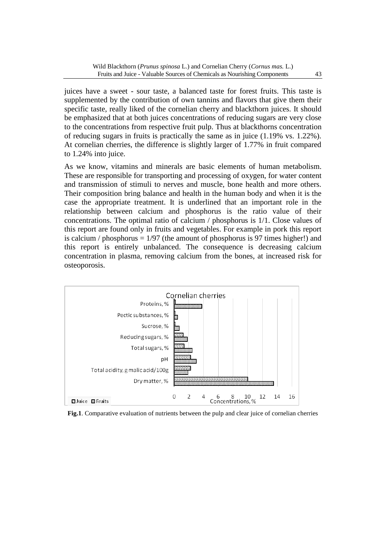juices have a sweet - sour taste, a balanced taste for forest fruits. This taste is supplemented by the contribution of own tannins and flavors that give them their specific taste, really liked of the cornelian cherry and blackthorn juices. It should be emphasized that at both juices concentrations of reducing sugars are very close to the concentrations from respective fruit pulp. Thus at blackthorns concentration of reducing sugars in fruits is practically the same as in juice (1.19% vs. 1.22%). At cornelian cherries, the difference is slightly larger of 1.77% in fruit compared to 1.24% into juice.

As we know, vitamins and minerals are basic elements of human metabolism. These are responsible for transporting and processing of oxygen, for water content and transmission of stimuli to nerves and muscle, bone health and more others. Their composition bring balance and health in the human body and when it is the case the appropriate treatment. It is underlined that an important role in the relationship between calcium and phosphorus is the ratio value of their concentrations. The optimal ratio of calcium / phosphorus is 1/1. Close values of this report are found only in fruits and vegetables. For example in pork this report is calcium / phosphorus  $= 1/97$  (the amount of phosphorus is 97 times higher!) and this report is entirely unbalanced. The consequence is decreasing calcium concentration in plasma, removing calcium from the bones, at increased risk for osteoporosis.



**Fig.1**. Comparative evaluation of nutrients between the pulp and clear juice of cornelian cherries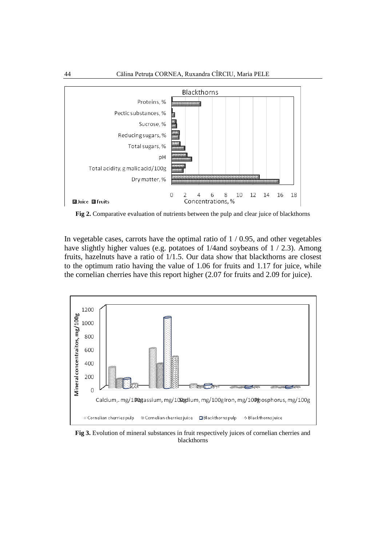

**Fig 2.** Comparative evaluation of nutrients between the pulp and clear juice of blackthorns

In vegetable cases, carrots have the optimal ratio of  $1/0.95$ , and other vegetables have slightly higher values (e.g. potatoes of 1/4and soybeans of 1 / 2.3). Among fruits, hazelnuts have a ratio of 1/1.5. Our data show that blackthorns are closest to the optimum ratio having the value of 1.06 for fruits and 1.17 for juice, while the cornelian cherries have this report higher (2.07 for fruits and 2.09 for juice).



**Fig 3.** Evolution of mineral substances in fruit respectively juices of cornelian cherries and blackthorns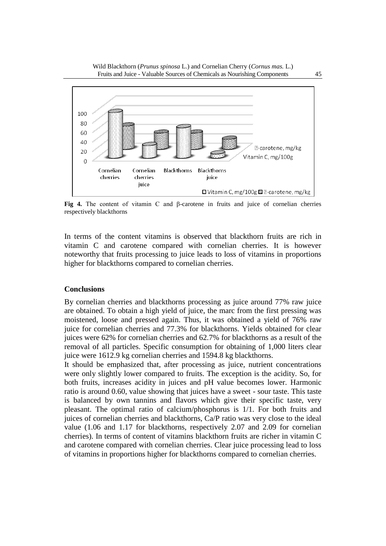



**Fig 4.** The content of vitamin C and β-carotene in fruits and juice of cornelian cherries respectively blackthorns

In terms of the content vitamins is observed that blackthorn fruits are rich in vitamin C and carotene compared with cornelian cherries. It is however noteworthy that fruits processing to juice leads to loss of vitamins in proportions higher for blackthorns compared to cornelian cherries.

#### **Conclusions**

By cornelian cherries and blackthorns processing as juice around 77% raw juice are obtained. To obtain a high yield of juice, the marc from the first pressing was moistened, loose and pressed again. Thus, it was obtained a yield of 76% raw juice for cornelian cherries and 77.3% for blackthorns. Yields obtained for clear juices were 62% for cornelian cherries and 62.7% for blackthorns as a result of the removal of all particles. Specific consumption for obtaining of 1,000 liters clear juice were 1612.9 kg cornelian cherries and 1594.8 kg blackthorns.

It should be emphasized that, after processing as juice, nutrient concentrations were only slightly lower compared to fruits. The exception is the acidity. So, for both fruits, increases acidity in juices and pH value becomes lower. Harmonic ratio is around 0.60, value showing that juices have a sweet - sour taste. This taste is balanced by own tannins and flavors which give their specific taste, very pleasant. The optimal ratio of calcium/phosphorus is 1/1. For both fruits and juices of cornelian cherries and blackthorns, Ca/P ratio was very close to the ideal value (1.06 and 1.17 for blackthorns, respectively 2.07 and 2.09 for cornelian cherries). In terms of content of vitamins blackthorn fruits are richer in vitamin C and carotene compared with cornelian cherries. Clear juice processing lead to loss of vitamins in proportions higher for blackthorns compared to cornelian cherries.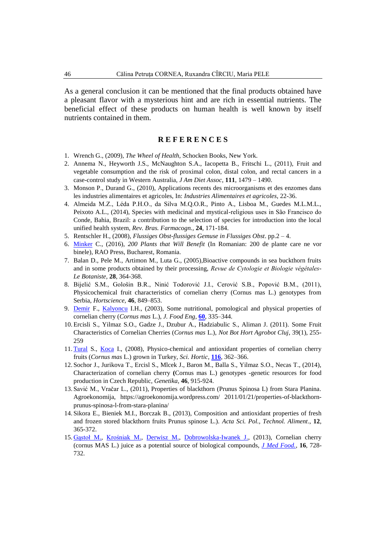As a general conclusion it can be mentioned that the final products obtained have a pleasant flavor with a mysterious hint and are rich in essential nutrients. The beneficial effect of these products on human health is well known by itself nutrients contained in them.

#### **R E F E R E N C E S**

- 1. Wrench G., (2009), *The Wheel of Health*, Schocken Books, New York.
- 2. Annema N., Heyworth J.S., McNaughton S.A., Iacopetta B., Fritschi L., (2011), Fruit and vegetable consumption and the risk of proximal colon, distal colon, and rectal cancers in a case-control study in Western Australia, *J Am Diet Assoc*, **111**, 1479 – 1490.
- 3. Monson P., Durand G., (2010), Applications recents des microorganisms et des enzomes dans les industries alimentaires et agricoles, In: *Industries Alimentaires et agricoles*, 22-36.
- 4. Almeida M.Z., Léda P.H.O., da Silva M.Q.O.R., Pinto A., Lisboa M., Guedes M.L.M.L., Peixoto A.L., (2014), Species with medicinal and mystical-religious uses in São Francisco do Conde, Bahia, Brazil: a contribution to the selection of species for introduction into the local unified health system, *Rev. Bras. Farmacogn.,* **24**, 171-184.
- 5. Rentschler H., (2008), *Flussiges Obst-flussiges Gemuse in Flussiges Obst*. pp.2 4.
- 6. [Minker](https://www.libraronline.ro/autor/carole-minker--i13927) C., (2016), *200 Plants that Will Benefit* (In Romanian: 200 de plante care ne vor binele), RAO Press, Bucharest, Romania.
- 7. Balan D., Pele M., Artimon M., Luta G., (2005),Bioactive compounds in sea buckthorn fruits and in some products obtained by their processing, *Revue de Cytologie et Biologie végétales-Le Botaniste,* **28**, 364-368.
- 8. Bijelić S.M., Gološin B.R., Ninić Todorović J.I., Cerović S.B., Popović B.M., (2011), Physicochemical fruit characteristics of cornelian cherry (Cornus mas L.) genotypes from Serbia, *Hortscience,* **46**, 849–853.
- 9. [Demir](http://www.sciencedirect.com/science/article/pii/S0260877403000566) F., [Kalyoncu](http://www.sciencedirect.com/science/article/pii/S0260877403000566) I.H., (2003), Some nutritional, pomological and physical properties of cornelian cherry (*Cornus mas* L.), *J. Food Eng*, **[60](http://www.sciencedirect.com/science/journal/02608774/60/3)**, 335–344.
- 10. Ercisli S., Yilmaz S.O., Gadze J., Dzubur A., Hadziabulic S., Aliman J. (2011). Some Fruit Characteristics of Cornelian Cherries (*Cornus mas* L.), *Not Bot Hort Agrobot Cluj*, 39(1), 255- 259
- 11. [Tural](http://www.sciencedirect.com/science/article/pii/S0304423808000368) S., [Koca](http://www.sciencedirect.com/science/article/pii/S0304423808000368) I., (2008), Physico-chemical and antioxidant properties of cornelian cherry fruits (*Cornus mas* L.) grown in Turkey, *Sci. Hortic*, **[116](http://www.sciencedirect.com/science/journal/03044238/116/4)**, 362–366.
- 12. Sochor J., Jurikova T., Ercisl S., Mlcek J., Baron M., Balla S., Yilmaz S.O., Necas T., (2014), Characterization of cornelian cherry **(**Cornus mas L.) genotypes -genetic resources for food production in Czech Republic*, Genetika*, **46**, 915-924.
- 13. Savić M., Vračar L., (2011), Properties of blackthorn (Prunus Spinosa L) from Stara Planina. Agroekonomija, https://agroekonomija.wordpress.com/ 2011/01/21/properties-of-blackthornprunus-spinosa-l-from-stara-planina/
- 14. Sikora E., Bieniek M.I., Borczak B., (2013), Composition and antioxidant properties of fresh and frozen stored blackthorn fruits Prunus spinose L.). *Acta Sci. Pol., Technol. Aliment*., **12**, 365-372.
- 15. [Gąstoł M.](http://www.ncbi.nlm.nih.gov/pubmed/?term=G%C4%85sto%C5%82%20M%5BAuthor%5D&cauthor=true&cauthor_uid=23905648), [Krośniak M.,](http://www.ncbi.nlm.nih.gov/pubmed/?term=Kro%C5%9Bniak%20M%5BAuthor%5D&cauthor=true&cauthor_uid=23905648) [Derwisz M.](http://www.ncbi.nlm.nih.gov/pubmed/?term=Derwisz%20M%5BAuthor%5D&cauthor=true&cauthor_uid=23905648), [Dobrowolska-Iwanek J.,](http://www.ncbi.nlm.nih.gov/pubmed/?term=Dobrowolska-Iwanek%20J%5BAuthor%5D&cauthor=true&cauthor_uid=23905648) (2013), Cornelian cherry (cornus MAS L.) juice as a potential source of biological compounds, *[J Med Food.,](http://www.ncbi.nlm.nih.gov/pubmed/23905648)* **16**, 728- 732.